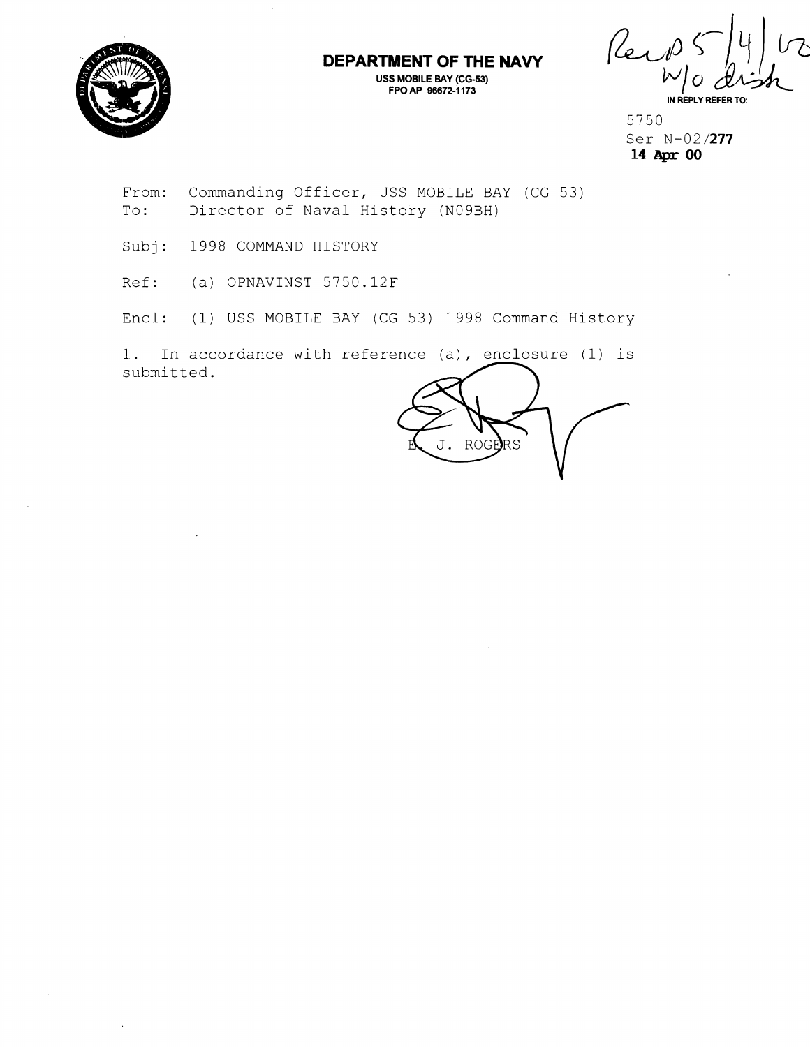

 $\overline{a}$ 

## **DEPARTMENT OF THE NAVY**

**USS MOBILE BAY (CG-53) FPO AP 96672-1 173** 

Reid  $\mathcal V$ **IN REPLY REFER** 

5750 Ser N-02/277 **14 Apr** 00

From: Commanding Officer, USS MOBILE BAY (CG 53) To: Director of Naval History (N09BH)

Subj: 1998 COMMAND HISTORY

Ref: (a) OPNAVINST 5750.12F

Encl: (1) USS MOBILE BAY (CG 53) 1998 Command History

1. In accordance with reference (a), enclosure (1) is submitted.

ROGE  $RS$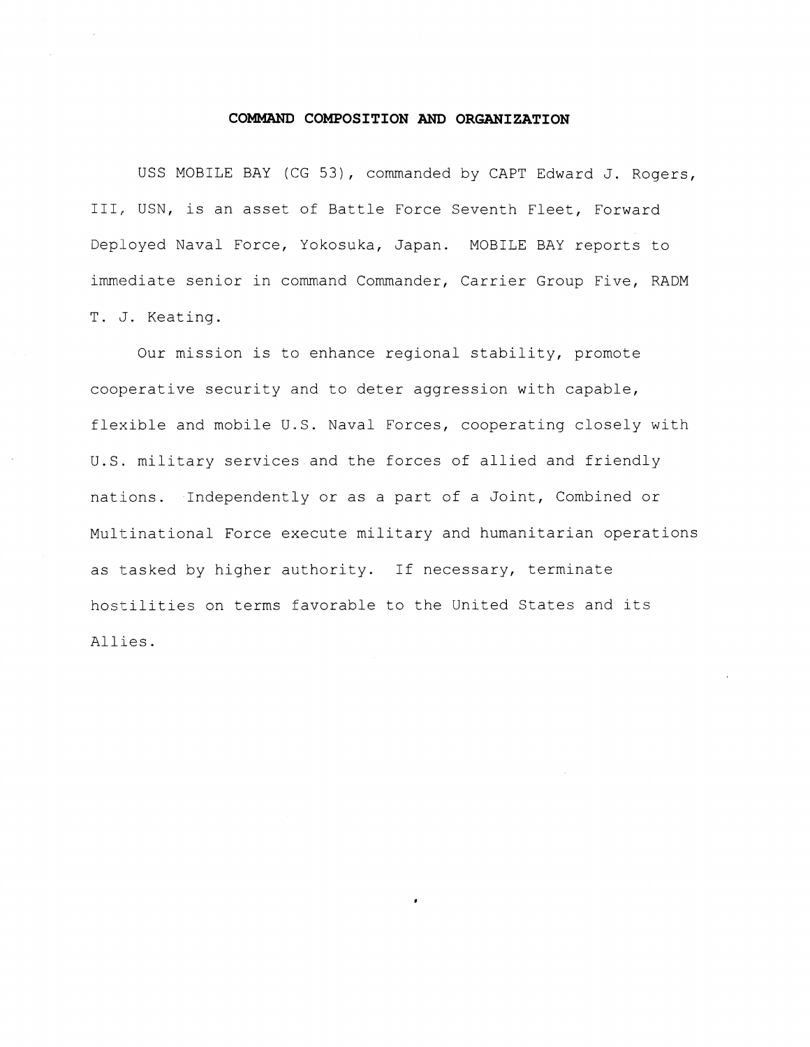## **COMMAND COMPOSITION AND ORGANIZATION**

USS MOBILE BAY (CG 53), commanded by CAPT Edward J. Rogers, III, USN, is an asset of Battle Force Seventh Fleet, Forward Deployed Naval Force, Yokosuka, Japan. MOBILE BAY reports to immediate senior in command Commander, Carrier Group Five, RADM T. J. Keating.

Our mission is to enhance regional stability, promote cooperative security and to deter aggression with capable, flexible and mobile U.S. Naval Forces, cooperating closely with U.S. military services and the forces of allied and friendly nations. IndependentLy or as a part of a Joint, Combined or Multinational Force execute military and humanitarian operations as tasked by higher authority. If necessary, terminate hostilities on terms favorable to the United States and its Allies.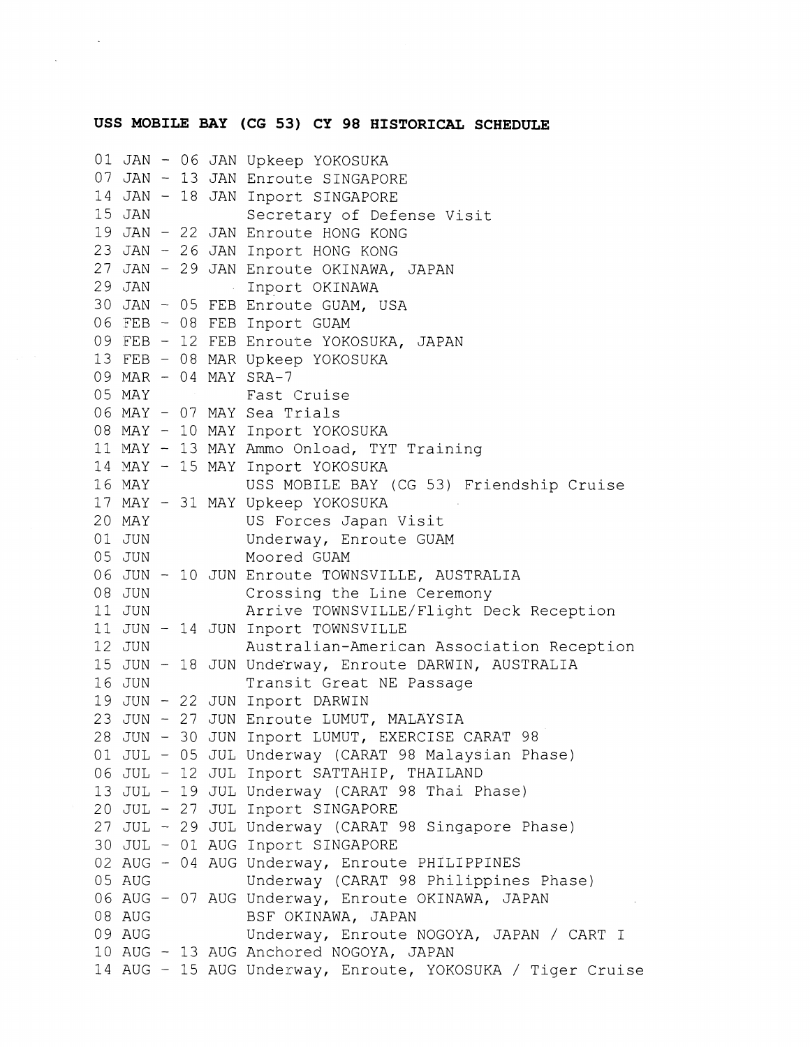## **USS MOBILE BAY (CG 53) CY 98 HISTORICAL SCHEDULE**

```
01 JAN - 06 JAN Upkeep YOKOSUKA 
07 JAN - 13 JAN Enroute SINGAPORE 
14 JAN - 18 JAN Inport SINGAPORE 
                 Secretary of Defense Visit
19 JAN - 22 JAN Enroute HONG KONG 
23 JAN - 26 JAN Inport HONG KONG 
27 JAN - 29 JAN Enroute OKINAWA, JAPAN<br>29 JAN 1nport OKINAWA
                 Inport OKINAWA
30 JAN - 05 FEB Enroute GUAM, USA 
06 FEB - 08 FEB Inport GUAM
09 FEB - 12 FEB Enroute YOKOSUKA, JAPAN 
13 FEB - 08 MAR Upkeep YOKOSUKA 
09 MAR - 04 MAY SRA-7<br>05 MAY Fast
                 Fast Cruise
06 MAY - 07 MAY Sea Trials
08 MAY - 10 MAY Inport YOKOSUKA 
11 MAY - 13 MAY Ammo Onload, TYT Training 
14 MAY - 15 MAY Inport YOKOSUKA 
16 MAY USS MOBILE BAY (CG 53) Friendship Cruise
17 MAY - 31 MAY Upkeep YOKOSUKA<br>20 MAY - US Forces Japan
                US Forces Japan Visit
01 JUN Underway, Enroute GUAM
05 JUN Moored GUAM
06 JUN - 10 JUN Enroute TOWNSVILLE, AUSTRALIA<br>08 JUN Crossing the Line Ceremony
                 Crossing the Line Ceremony
11 JUN Arrive TOWNSVILLE/Flight Deck Reception 
11 JUN - 14 JUN Inport TOWNSVILLE 
12 JUN Australian-American Association Reception 
15 JUN - 18 JUN Underway, Enroute DARWIN, AUSTRALIA
16 JUN Transit Great NE Passage 
19 JUN - 22 JUN Inport DARWIN 
23 JUN - 27 JUN Enroute LUMUT, MALAYSIA 
28 JUN - 30 JUN Inport LUMUT, EXERCISE CARAT 98
01 JUL - 05 JUL Underway (CARAT 98 Malaysian Phase) 
06 JUL - 12 JUL Inport SATTAHIP, THAILAND 
13 JUL - 19 JUL Underway (CARAT 98 Thai Phase) 
20 JUL - 27 JUL Inport SINGAPORE 
27 JUL - 29 JUL Underway (CARAT 98 Singapore Phase) 
30 JUL - 01 AUG Inport SINGAPORE 
02 AUG - 04 AUG Underway, Enroute PHILIPPINES
05 AUG Underway (CARAT 98 Philippines Phase) 
06 AUG - 07 AUG Underway, Enroute OKINAWA, JAPAN<br>08 AUG               BSF OKINAWA, JAPAN
                 BSF OKINAWA, JAPAN
09 AUG Underway, Enroute NOGOYA, JAPAN / CART I 
10 AUG - 13 AUG Anchored NOGOYA, JAPAN 
14 AUG - 15 AUG Underway, Enroute, YOKOSUKA / Tiger Cruise
```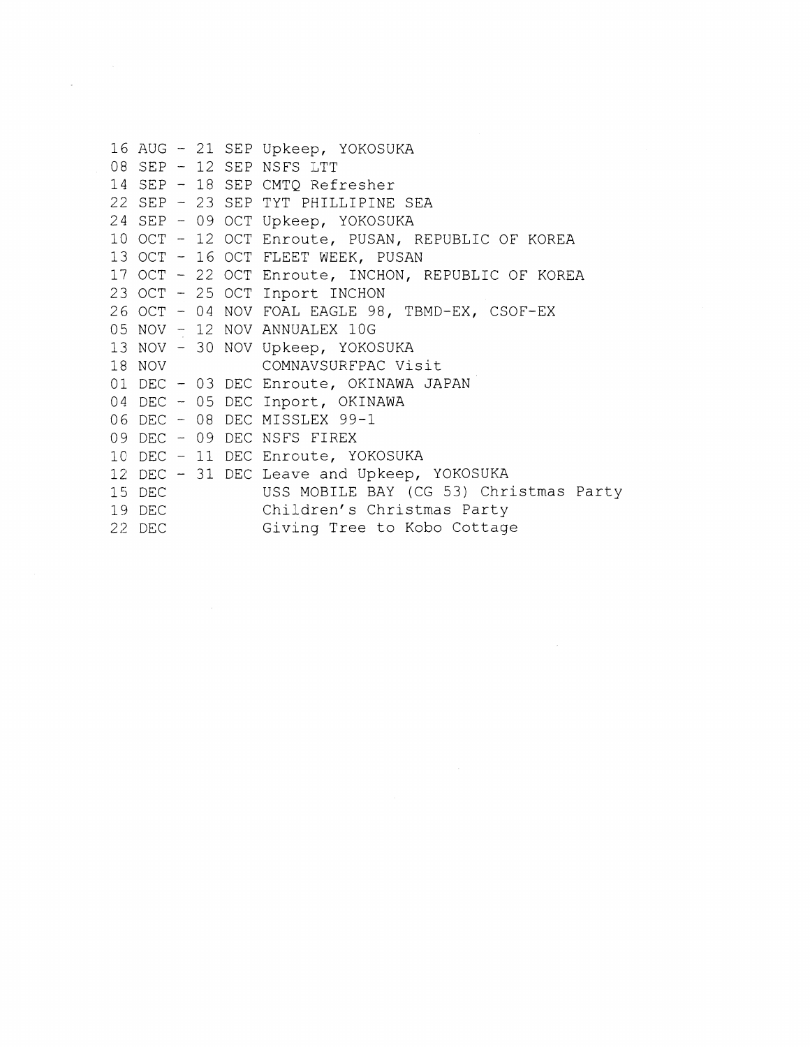```
16 AUG - 21 SEP Upkeep, YOKOSUKA 
08 SEP - 12 SEP NSFS LTT 
14 SEP - 18 SEP CMTQ Refresher 
22 SEP - 23 SEP TYT PHILLIPINE SEA 
24 SEP - 09 OCT Upkeep, YOKOSUKA 
10 OCT - 12 OCT Enroute, PUSAN, REPUBLIC OF KOREA 
13 OCT - 16 OCT FLEET WEEK, PUSAN
17 OCT - 22 OCT Enroute, INCHON, REPUBLIC OF KOREA 
23 OCT - 25 OCT Inport INCHON 
26 OCT - 04 NOV FOAL EAGLE 98, TBMD-EX, CSOF-EX 
05 NOV - 12 NOV ANNUALEX 10G
13 NOV - 30 NOV Upkeep, YOKOSUKA<br>18 NOV COMNAVSURFPAC Vi
                 COMNAVSURFPAC Visit
01 DEC - 03 DEC Enroute, OKINAWA JAPAN 
04 DEC - 05 DEC Inport, OKINAWA 
06 DEC - 08 DEC MISSLEX 99-1 
09 DEC - 09 DEC NSFS FIREX 
1C DEC - 11 DEC Enroute, YOKOSUKA 
12 DEC - 31 DEC Leave and Upkeep, YOKOSUKA<br>15 DEC USS MOBILE BAY (CG 53) Chr.
                 USS MOBILE BAY (CG 53) Christmas Party
19 DEC Children's Christmas Party
22 DEC Giving Tree to Kobo Cottage
```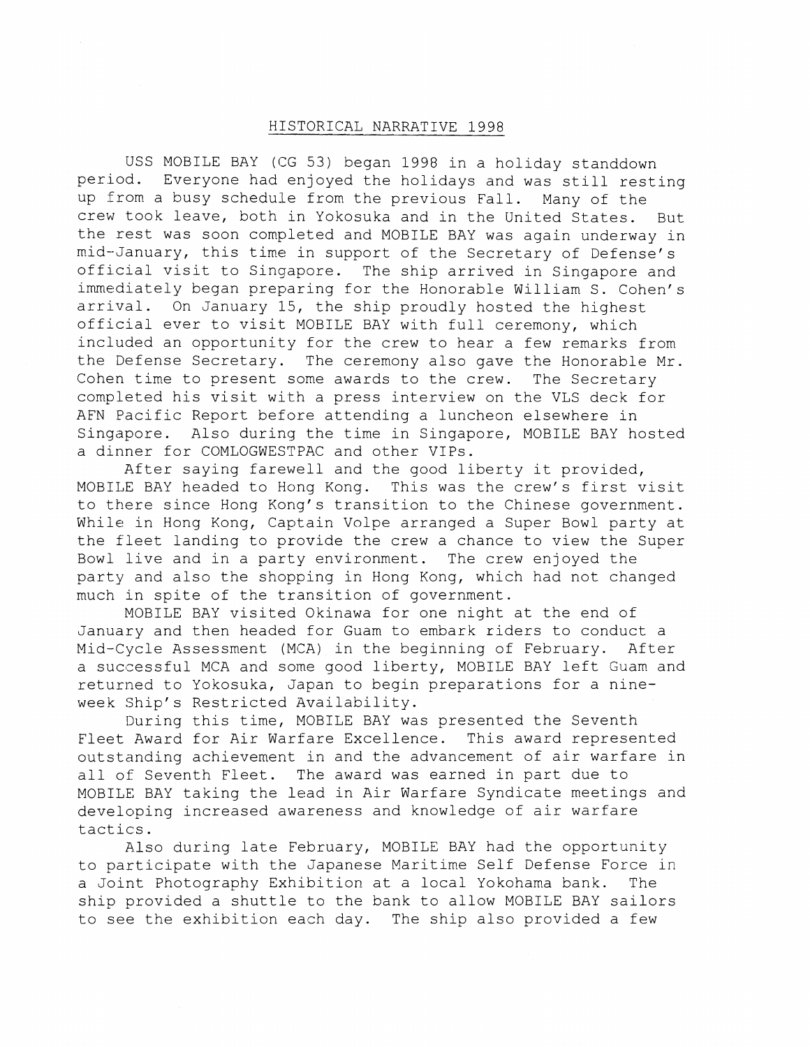## - HISTORICAL NARRATIVE 1998

USS MOBILE BAY (CG 53) began 1998 in a holiday standdown period. Everyone had enjoyed the holidays and was still resting up from a busy schedule from the previous Fall. Many of the crew took leave, both in Yokosuka and in the United States. But the rest was soon completed and MOBILE BAY was again underway in mid--January, this time in support of the Secretary of Defense's official visit to Singapore. The ship arrived in Singapore and immediately began preparing for the Honorable William S. Cohen's arrival. On January 15, the ship proudly hosted the highest official ever to visit MOBILE BAY with full ceremony, which included an opportunity for the crew to hear a few remarks from the Defense Secretary. The ceremony also gave the Honorable Mr. Cohen time to present some awards to the crew. The Secretary completed his visit with a press interview on the VLS deck for AFN Facific Report before attending a luncheon elsewhere in Singapore. Also during the time in Singapore, MOBILE BAY hosted a dinner for COMLOGWESTPAC and other VIPs.

After saying farewell and the good liberty it provided, MOBILE BAY headed to Hong Kong. This was the crew's first visit to there since Hong Kong's transition to the Chinese government. While in Hong Kong, Captain Volpe arranged a Super Bowl party at the fleet landing to provide the crew a chance to view the Super Bowl live and in a party environment. The crew enjoyed the party and also the shopping in Hong Kong, which had not changed much in spite of the transition of government.

MOBILE BAY visited Okinawa for one night at the end of January and then headed for Guam to embark riders to conduct a Mid-Cycle Assessment (MCA) in the beginning of February. After a successful MCA and some good liberty, MOBILE BAY left Guam and returned to Yokosuka, Japan to begin preparations for a nineweek Ship's Restricted Availability.

During this time, MOBILE BAY was presented the Seventh Fleet Award for Air Warfare Excellence. This award represented outstanding achievement in and the advancement of air warfare in all of Seventh Fleet. The award was earned in part due to MOBILE BAY taking the lead in Air Warfare Syndicate meetings and developing increased awareness and knowledge of air warfare tactics.

Also during late February, MOBILE BAY had the opportunity to participate with the Japanese Maritlme Self Defense Force in a Joint Photography Exhibition at a local Yokohama bank. The ship provided a shuttle to the bank to allow MOBILE BAY sailors to see the exhibition each day. The ship also provided a few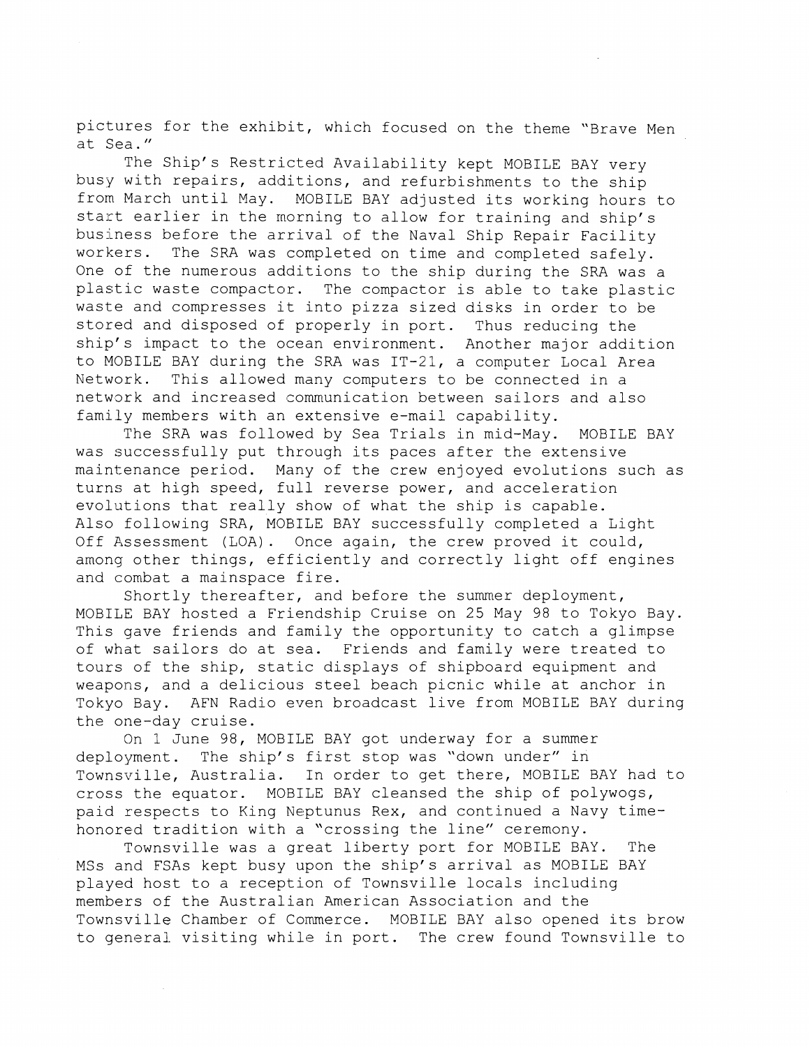pictures for the exhibit, which focused on the theme "Brave Men at Sea. "

The Ship's Restricted Availability kept MOBILE BAY very busy with repairs, additions, and refurbishments to the ship from March until May. MOBILE BAY adjusted its working hours to start earlier in the morning to allow for training and ship's business before the arrival of the Naval Ship Repair Facility workers. The SRA was completed on time and completed safely. One of the numerous additions to the ship during the SRA was a plastic waste compactor. The compactor is able to take plastic waste and compresses it into pizza sized disks in order to be stored and disposed of properly in port. Thus reducing the ship's impact to the ocean environment. Another major addition to MOBILE BAY during the SRA was IT-21, a computer Local Area Network. This allowed many computers to be connected in a network and increased communication between sailors and also family members with an extensive e-mail capability.

The SRA was followed by Sea Trials in mid-May. MOBILE BAY was successfully put through its paces after the extensive maintenance period. Many of the crew enjoyed evolutions such as turns at high speed, full reverse power, and acceleration evolutions that really show of what the ship is capable. Also following SRA, MOBILE BAY successfully completed a Light Off Assessment (LOA). Once again, the crew proved it could, among other things, efficiently and correctly light off engines and combat a mainspace fire.

Shortly thereafter, and before the summer deployment, MOBILE BAY hosted a Friendship Cruise on 25 May 98 to Tokyo Bay. This gave friends and family the opportunity to catch a glimpse of what sailors do at sea. Friends and family were treated to tours of the ship, static displays of shipboard equipment and weapons, and a delicious steel beach picnic while at anchor in Tokyo Bay. AFN Radio even broadcast live from MOBILE BAY during the one-day cruise.

On 1 June 98, MOBILE BAY got underway for a summer deployment. The ship's first stop was "down under" in Townsville, Australia. In order to get there, MOBILE BAY had to cross the equator. MOBILE BAY cleansed the ship of polywogs, paid respects to King Neptunus Rex, and continued a Navy timehonored tradition with a "crossing the line" ceremony.

Townsville was a great liberty port for MOBILE BAY. The MSs and FSAs kept busy upon the ship's arrival as MOBILE BAY played host to a reception of Townsville locals including members of the Australian American Association and the Townsville Chamber of Commerce. MOBILE BAY also opened its brow to genera!. visiting while in port. The crew found Townsville to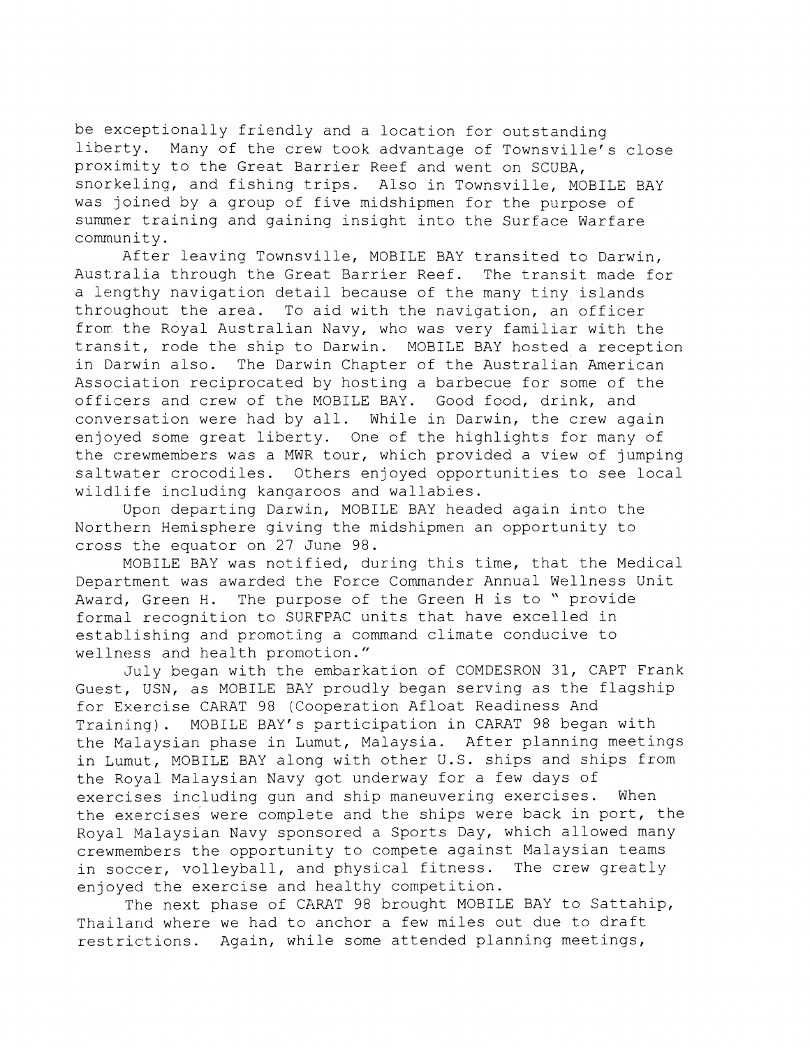be exceptionally friendly and a location for outstanding liberty. Many of the crew took advantage of Townsville's close proximity to the Great Barrier Reef and went on SCUBA, snorkeling, and fishing trips. Also in Townsville, MOBILE BAY was joined by a group of five midshipmen for the purpose of summer training and gaining insight into the Surface Warfare community.

After leaving Townsville, MOBILE BAY transited to Darwin, Australia through the Great Barrier Reef. The transit made for a lengthy navigation detail because of the many tiny islands throughout the area. To aid with the navigation, an officer from the Royal Australian Navy, who was very familiar with the transit, rode the ship to Darwin. MOBILE BAY hosted a reception in Darwin also. The Darwin Chapter of the Australian American Association reciprocated by hosting a barbecue for some of the officers and crew of the MOBILE BAY. Good food, drink, and conversation were had by all. While in Darwin, the crew again enjoyed some great liberty. One of the highlights for many of the crewmembers was a MWR tour, which provided a view of jumping saltwater crocodiles. Others enjoyed opportunities to see local wildlife including kangaroos and wallabies.

Upon departing Darwin, MOBILE BAY headed again into the Northern Hemisphere giving the midshipmen an opportunity to cross the equator on 27 June 98.

MOBILE BAY was notified, during this time, that the Medical Department was awarded the Force Commander Annual Wellness Unit Award, Green H. The purpose of the Green H is to " provide formal recognition to SURFPAC units that have excelled in establishing and promoting a command climate conducive to wellness and health promotion."

July began with the embarkation of COMDESRON 31, CAPT Frank Guest, USN, as MOBILE BAY proudly began serving as the flagship for Exercise CARAT 98 (Cooperation Afloat Readiness And Training). MOBILE BAY'S participation in CARAT 98 began with the Malaysian phase in Lumut, Malaysia. After planning meetings in Lumut, MOBILE BAY along with other U.S. ships and ships from the Royal Malaysian Navy got underway for a few days of exercises including gun and ship maneuvering exercises. When the exercises were complete and the ships were back in port, the Royal Malaysian Navy sponsored a Sports Day, which allowed many crewmembers the opportunity to compete against Malaysian teams in soccer, volleyball, and physical fitness. The crew greatly enjoyed the exercise and healthy competition.

The next phase of CARAT 98 brought MOBILE BAY to Sattahip, Thailand where we had to anchor a few miles out due to draft restrictions. Again, while some attended planning meetings,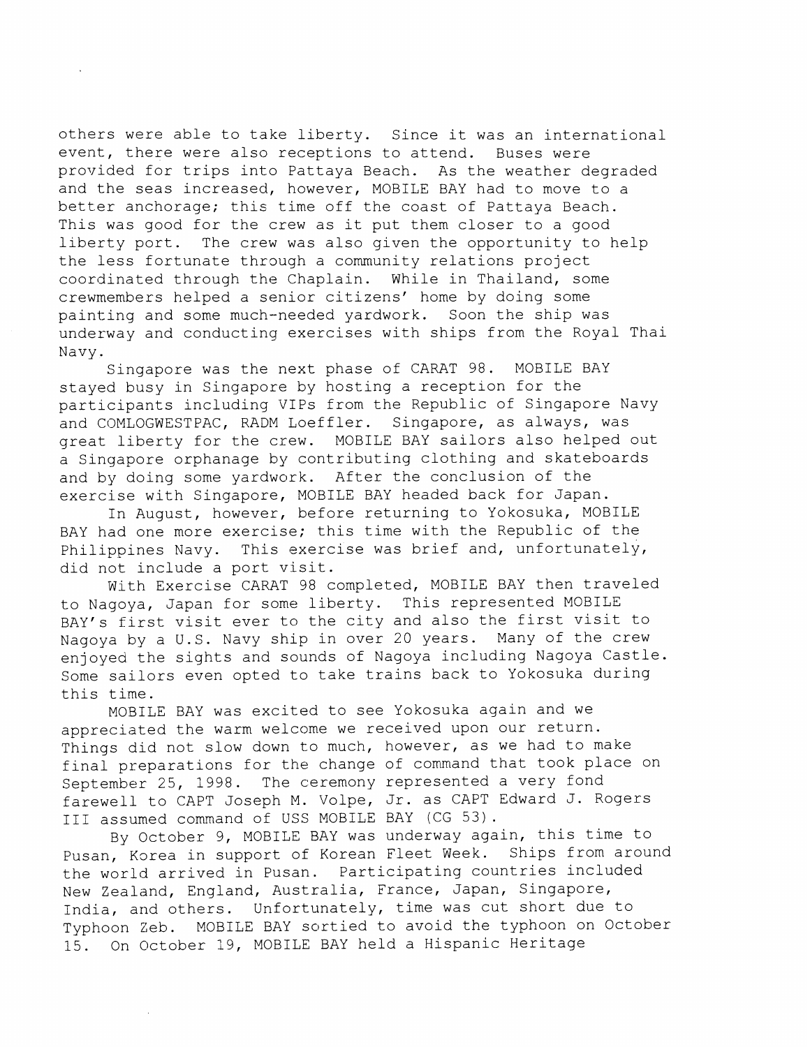others were able to take liberty. Since it was an international event, there were also receptions to attend. Buses were provided for trips into Pattaya Beach. As the weather degraded and the seas increased, however, MOBILE BAY had to move to a better anchorage; this time off the coast of Pattaya Beach. This was good for the crew as it put them closer to a good liberty port. The crew was also given the opportunity to help the less fortunate through a community relations project coordinated through the Chaplain. While in Thailand, some crewmembers helped a senior citizens' home by doing some painting and some much--needed yardwork. Soon the ship was underway and conducting exercises with ships from the Royal Thai Navy.

Singapore was the next phase of CARAT 98. MOBILE BAY stayed busy in Singapore by hosting a reception for the participants including 'VIPs from the Republic of Singapore Navy and COMLOGWESTPAC, RADM Loeffler. Singapore, as always, was great liberty for the crew. MOBILE BAY sailors also helped out a Singapore orphanage by contributing clothing and skateboards and by doing some yardwork. After the conclusion of the exercise with Singapore, MOBILE BAY headed back for Japan.

In August, however, before returning to Yokosuka, MOBILE BAY had one more exercise; this time with the Republic of the Philippines Navy. This exercise was brief and, unfortunately, did not include a port visit.

With Exercise CARAT 98 completed, MOBILE BAY then traveled to Nagoya, Japan for some liberty. This represented MOBILE BAY's first visit ever to the city and also the first visit to Nagoya by a U.S. Navy ship in over 20 years. Many of the crew enjoyed the sights and sounds of Nagoya including Nagoya Castle. Some sailors even opted to take trains back to Yokosuka during this time.

MOBILE BAY was excited to see Yokosuka again and we appreciated the warm welcome we received upon our return. Things did not slow down to much, however, as we had to make final preparations for the change of command that took place on September 25, 1998. The ceremony represented a very fond farewell to CAPT Joseph M. Volpe, Jr. as CAPT Edward J. Rogers I11 assumed command of USS MOBILE BAY (CG 53).

By October 9, MOBILE BAY was underway again, this time to Pusan, Korea in support of Korean Fleet Week. Ships from around the world arrived in Pusan. Participating countries included New Zealand, England, Australia, France, Japan, Singapore, India, and others. Unfortunately, time was cut short due to Typhoon Zeb. MOBILE BAY sortied to avoid the typhoon on October 15. On October 19, MOBILE BAY held a Hispanic Heritage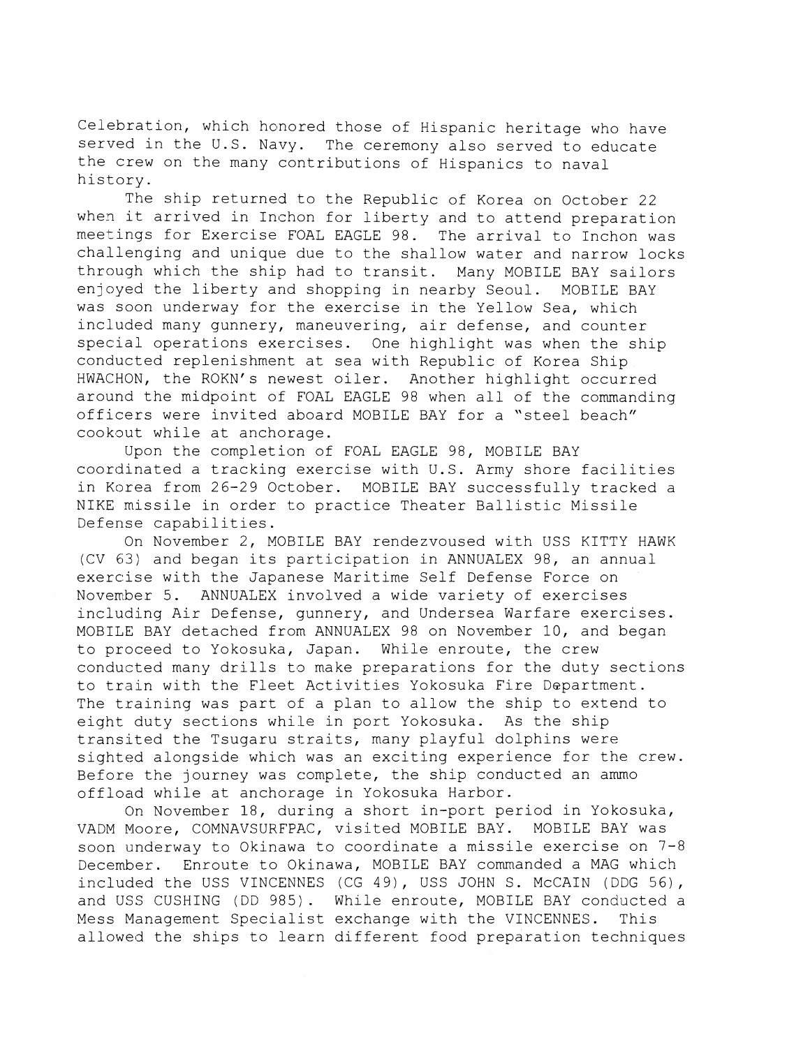Celebration, which honored those of Hispanic heritage who have served in the U.S. Navy. The ceremony also served to educate the crew on the many contributions of Hispanics to naval history.

The ship returned to the Republic of Korea on October 22 when it arrived in Inchon for liberty and to attend preparation meetings for Exercise FOAL EAGLE 98. The arrival to Inchon was challenging and unique due to the shallow water and narrow locks through which the ship had to transit. Many MOBILE BAY sailors enjoyed the liberty and shopping in nearby Seoul. MOBILE BAY was soon underway for the exercise in the Yellow Sea, which included many gunnery, maneuvering, air defense, and counter special operations exercises. One highlight was when the ship conducted replenishment at sea with Republic of Korea Ship HWACHON, the ROKN's newest oiler. Another highlight occurred around the midpoint of FOAL EAGLE 98 when all of the commanding officers were invited aboard MOBILE BAY for a "steel beach" cookout while at anchorage.

Upon the completion of FOAL EAGLE 98, MOBILE BAY coordinated a tracking exercise with U.S. Army shore facilities in Korea from 26-29 October. MOBILE BAY successfully tracked a NIKE missile in order to practice Theater Ballistic Missile Defense capabilities.

On November 2, MOBILE BAY rendezvoused with USS KITTY HAWK (CV 63) and began its participation in ANNUALEX 98, an annual exercise with the Japanese Maritime Self Defense Force on November 5. ANNUALEX involved a wide variety of exercises including Air Defense, gunnery, and Undersea Warfare exercises. MOBILE BAY detached from ANNUALEX 98 on November 10, and began to proceed to Yokosuka, Japan. While enroute, the crew conducted many drills to make preparations for the duty sections to train with the Fleet Activities Yokosuka Fire Department. The training was part of a plan to allow the ship to extend to eight duty sections while in port Yokosuka. As the ship transited the Tsugaru straits, many playful dolphins were sighted alongside which was an exciting experience for the crew. Before the journey was complete, the ship conducted an ammo offload while at anchorage in Yokosuka Harbor.

On November 18, during a short in-port period in Yokosuka, VADM Moore, COMNAVSURFPAC, visited MOBILE BAY. MOBILE BAY was soon underway to Okinawa to coordinate a missile exercise on  $7-8$ December. Enroute to Okinawa, MOBILE BAY commanded a MAG which included the USS VINCENNES (CG 49), USS JOHN S. McCAIN (DDG 56), and USS CUSHING (DD 985). While enroute, MOBILE BAY conducted a Mess Management Specialist exchange with the VINCENNES. This allowed the ships to learn different food preparation techniques